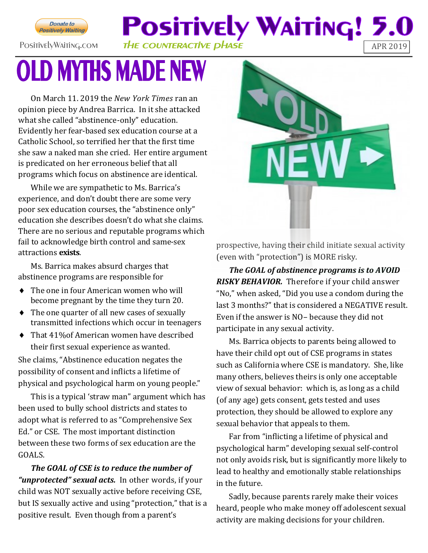

**Positively Waiting! 5.**  $\blacksquare$ PositivelyWaiting.com THE COUNTERACTIVE DHASE

## **OLD MYTHS MADE NEW**

On March 11. 2019 the *New York Times* ran an opinion piece by Andrea Barrica. In it she attacked what she called "abstinence-only" education. Evidently her fear-based sex education course at a Catholic School, so terrified her that the first time she saw a naked man she cried. Her entire argument is predicated on her erroneous belief that all programs which focus on abstinence are identical.

While we are sympathetic to Ms. Barrica's experience, and don't doubt there are some very poor sex education courses, the "abstinence only" education she describes doesn't do what she claims. There are no serious and reputable programs which fail to acknowledge birth control and same-sex attractions **exists**.

Ms. Barrica makes absurd charges that abstinence programs are responsible for

- The one in four American women who will become pregnant by the time they turn 20.
- The one quarter of all new cases of sexually transmitted infections which occur in teenagers
- ◆ That 41\% of American women have described their first sexual experience as wanted.

She claims, "Abstinence education negates the possibility of consent and inflicts a lifetime of physical and psychological harm on young people."

This is a typical 'straw man" argument which has been used to bully school districts and states to adopt what is referred to as "Comprehensive Sex Ed." or CSE. The most important distinction between these two forms of sex education are the GOALS.

*The GOAL of CSE is to reduce the number of "unprotected" sexual acts.* In other words, if your child was NOT sexually active before receiving CSE, but IS sexually active and using "protection," that is a positive result. Even though from a parent's



prospective, having their child initiate sexual activity (even with "protection") is MORE risky.

*The GOAL of abstinence programs is to AVOID RISKY BEHAVIOR.* Therefore if your child answer "No," when asked, "Did you use a condom during the last 3 months?" that is considered a NEGATIVE result. Even if the answer is NO– because they did not participate in any sexual activity.

Ms. Barrica objects to parents being allowed to have their child opt out of CSE programs in states such as California where CSE is mandatory. She, like many others, believes theirs is only one acceptable view of sexual behavior: which is, as long as a child (of any age) gets consent, gets tested and uses protection, they should be allowed to explore any sexual behavior that appeals to them.

Far from "inflicting a lifetime of physical and psychological harm" developing sexual self-control not only avoids risk, but is significantly more likely to lead to healthy and emotionally stable relationships in the future.

Sadly, because parents rarely make their voices heard, people who make money off adolescent sexual activity are making decisions for your children.